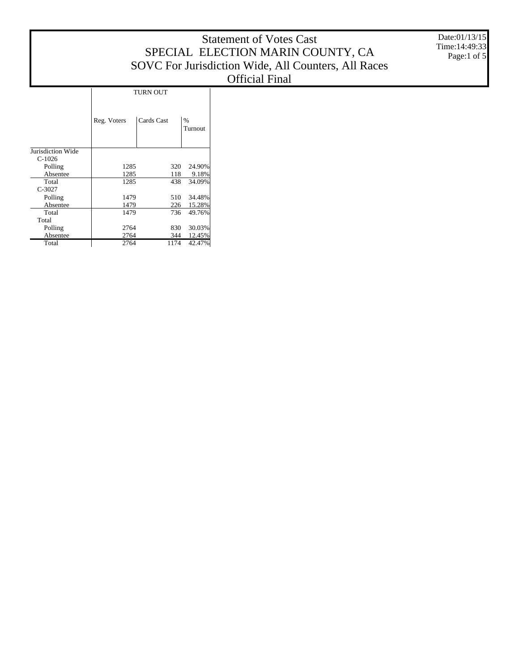|                   |             |                 |                 | <b>Statement of Votes Cast</b><br>SPECIAL ELECTION MARIN COUNTY, CA<br>SOVC For Jurisdiction Wide, All Counters, All Races<br><b>Official Final</b> | Date:01/13/15<br>Time: 14:49:33<br>Page:1 of 5 |
|-------------------|-------------|-----------------|-----------------|-----------------------------------------------------------------------------------------------------------------------------------------------------|------------------------------------------------|
|                   |             |                 |                 |                                                                                                                                                     |                                                |
|                   |             | <b>TURN OUT</b> |                 |                                                                                                                                                     |                                                |
|                   | Reg. Voters | Cards Cast      | $\%$<br>Turnout |                                                                                                                                                     |                                                |
| Jurisdiction Wide |             |                 |                 |                                                                                                                                                     |                                                |
| $C-1026$          |             |                 |                 |                                                                                                                                                     |                                                |
| Polling           | 1285        | 320             | 24.90%          |                                                                                                                                                     |                                                |
| Absentee          | 1285        | 118             | 9.18%           |                                                                                                                                                     |                                                |
| Total<br>$C-3027$ | 1285        | 438             | 34.09%          |                                                                                                                                                     |                                                |
| Polling           | 1479        | 510             | 34.48%          |                                                                                                                                                     |                                                |
| Absentee          | 1479        | 226             | 15.28%          |                                                                                                                                                     |                                                |
| Total             | 1479        | 736             | 49.76%          |                                                                                                                                                     |                                                |
| Total             |             |                 |                 |                                                                                                                                                     |                                                |
| Polling           | 2764        | 830             | 30.03%          |                                                                                                                                                     |                                                |

2764 344 12.45% 2764 1174 42.47%

 Absentee Total

 $\mathbf{I}$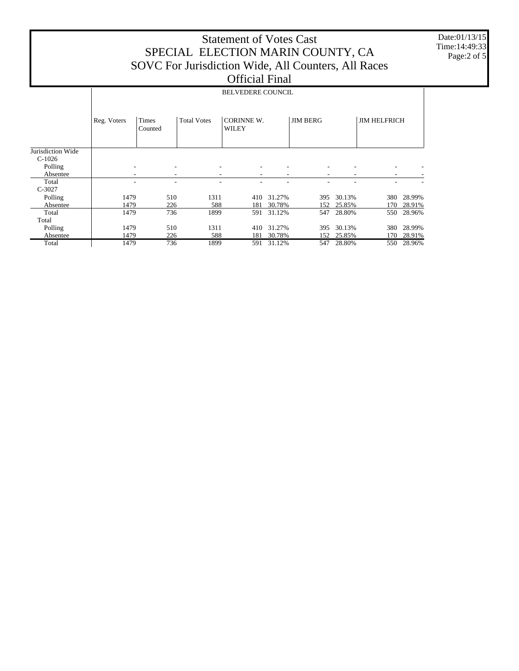## Statement of Votes Cast SPECIAL ELECTION MARIN COUNTY, CA SOVC For Jurisdiction Wide, All Counters, All Races Official Final

Date:01/13/15 Time:14:49:33 Page:2 of 5

|                               | <b>BELVEDERE COUNCIL</b> |                  |                    |                            |        |                 |        |                     |        |  |  |
|-------------------------------|--------------------------|------------------|--------------------|----------------------------|--------|-----------------|--------|---------------------|--------|--|--|
|                               | Reg. Voters              | Times<br>Counted | <b>Total Votes</b> | <b>CORINNE W.</b><br>WILEY |        | <b>JIM BERG</b> |        | <b>JIM HELFRICH</b> |        |  |  |
| Jurisdiction Wide<br>$C-1026$ |                          |                  |                    |                            |        |                 |        |                     |        |  |  |
| Polling                       |                          |                  |                    |                            |        |                 |        |                     |        |  |  |
| Absentee                      |                          |                  | ۰                  | ٠                          |        | ۰               |        |                     |        |  |  |
| Total                         |                          |                  |                    |                            |        |                 |        |                     |        |  |  |
| $C-3027$                      |                          |                  |                    |                            |        |                 |        |                     |        |  |  |
| Polling                       | 1479                     | 510              | 1311               | 410                        | 31.27% | 395             | 30.13% | 380                 | 28.99% |  |  |
| Absentee                      | 1479                     | 226              | 588                | 181                        | 30.78% | 152             | 25.85% | 170                 | 28.91% |  |  |
| Total                         | 1479                     | 736              | 1899               | 591                        | 31.12% | 547             | 28.80% | 550                 | 28.96% |  |  |
| Total                         |                          |                  |                    |                            |        |                 |        |                     |        |  |  |
| Polling                       | 1479                     | 510              | 1311               | 410                        | 31.27% | 395             | 30.13% | 380                 | 28.99% |  |  |
| Absentee                      | 1479                     | 226              | 588                | 181                        | 30.78% | 152             | 25.85% | 170                 | 28.91% |  |  |
| Total                         | 1479                     | 736              | 1899               | 591                        | 31.12% | 547             | 28.80% | 550                 | 28.96% |  |  |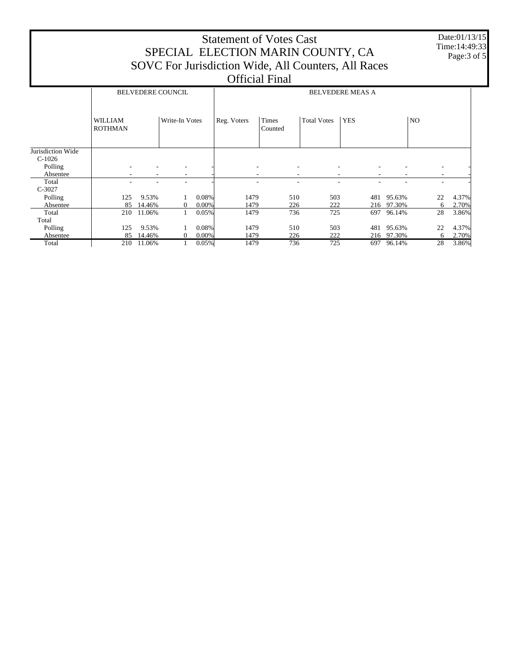| <b>Statement of Votes Cast</b><br>SPECIAL ELECTION MARIN COUNTY, CA<br>SOVC For Jurisdiction Wide, All Counters, All Races<br><b>Official Final</b> |                                  |                 |                |                   |              |                  |                    |            |     |                      | Date:01/13/15<br>Time: 14:49:33<br>Page: 3 of 5 |                          |                |
|-----------------------------------------------------------------------------------------------------------------------------------------------------|----------------------------------|-----------------|----------------|-------------------|--------------|------------------|--------------------|------------|-----|----------------------|-------------------------------------------------|--------------------------|----------------|
| <b>BELVEDERE COUNCIL</b><br><b>BELVEDERE MEAS A</b>                                                                                                 |                                  |                 |                |                   |              |                  |                    |            |     |                      |                                                 |                          |                |
|                                                                                                                                                     | <b>WILLIAM</b><br><b>ROTHMAN</b> |                 | Write-In Votes |                   | Reg. Voters  | Times<br>Counted | <b>Total Votes</b> | <b>YES</b> |     |                      | N <sub>O</sub>                                  |                          |                |
| Jurisdiction Wide<br>$C-1026$<br>Polling<br>Absentee                                                                                                |                                  |                 |                |                   |              |                  |                    |            |     |                      |                                                 | $\overline{\phantom{a}}$ |                |
| Total<br>$C-3027$                                                                                                                                   |                                  |                 |                |                   |              |                  | ٠                  |            |     |                      |                                                 |                          |                |
| Polling<br>Absentee                                                                                                                                 | 125<br>85                        | 9.53%<br>14.46% | $\theta$       | 0.08%<br>$0.00\%$ | 1479<br>1479 | 510<br>226       |                    | 503<br>222 | 481 | 95.63%<br>216 97.30% |                                                 | 22<br>6                  | 4.37%<br>2.70% |
| Total<br>Total                                                                                                                                      | 210                              | 11.06%          |                | 0.05%             | 1479         | 736              |                    | 725        | 697 | 96.14%               |                                                 | 28                       | 3.86%          |
| Polling<br>Absentee                                                                                                                                 | 125<br>85                        | 9.53%<br>14.46% | $\Omega$       | 0.08%<br>$0.00\%$ | 1479<br>1479 | 510<br>226       |                    | 503<br>222 | 481 | 95.63%<br>216 97.30% |                                                 | 22<br>6                  | 4.37%<br>2.70% |
| Total                                                                                                                                               | 210                              | 11.06%          |                | 0.05%             | 1479         | 736              |                    | 725        | 697 | 96.14%               |                                                 | 28                       | 3.86%          |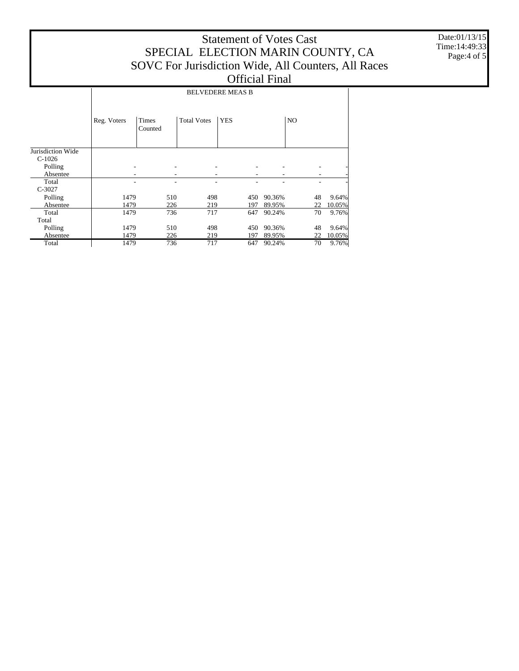## Statement of Votes Cast SPECIAL ELECTION MARIN COUNTY, CA SOVC For Jurisdiction Wide, All Counters, All Races Official Final

Date:01/13/15 Time:14:49:33 Page:4 of 5

|                   | <b>BELVEDERE MEAS B</b> |                         |                    |            |        |                |        |  |  |  |
|-------------------|-------------------------|-------------------------|--------------------|------------|--------|----------------|--------|--|--|--|
|                   | Reg. Voters             | <b>Times</b><br>Counted | <b>Total Votes</b> | <b>YES</b> |        | N <sub>O</sub> |        |  |  |  |
| Jurisdiction Wide |                         |                         |                    |            |        |                |        |  |  |  |
| $C-1026$          |                         |                         |                    |            |        |                |        |  |  |  |
| Polling           |                         |                         |                    |            |        |                |        |  |  |  |
| Absentee          |                         |                         |                    |            |        |                |        |  |  |  |
| Total             |                         | ٠                       |                    |            |        |                |        |  |  |  |
| $C-3027$          |                         |                         |                    |            |        |                |        |  |  |  |
| Polling           | 1479                    | 510                     | 498                | 450        | 90.36% | 48             | 9.64%  |  |  |  |
| Absentee          | 1479                    | 226                     | 219                | 197        | 89.95% | 22             | 10.05% |  |  |  |
| Total             | 1479                    | 736                     | 717                | 647        | 90.24% | 70             | 9.76%  |  |  |  |
| Total             |                         |                         |                    |            |        |                |        |  |  |  |
| Polling           | 1479                    | 510                     | 498                | 450        | 90.36% | 48             | 9.64%  |  |  |  |
| Absentee          | 1479                    | 226                     | 219                | 197        | 89.95% | 22             | 10.05% |  |  |  |
| Total             | 1479                    | 736                     | 717                | 647        | 90.24% | 70             | 9.76%  |  |  |  |